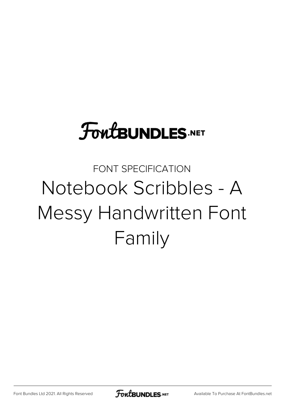# **FoutBUNDLES.NET**

## FONT SPECIFICATION Notebook Scribbles - A Messy Handwritten Font Family

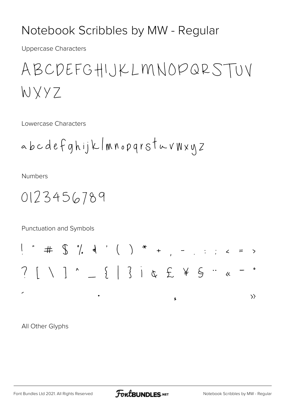#### Notebook Scribbles by MW - Regular

**Uppercase Characters** 

ABCDEFGHIJKLMNOPQRSTUV WXYZ

Lowercase Characters

**Numbers** 

Punctuation and Symbols

All Other Glyphs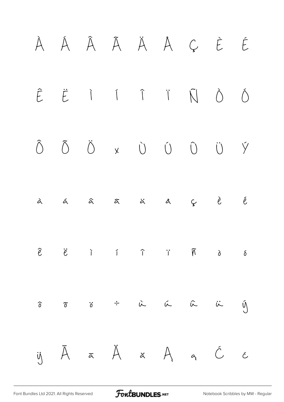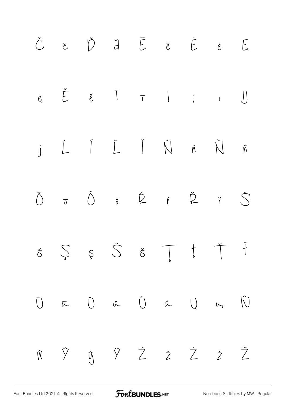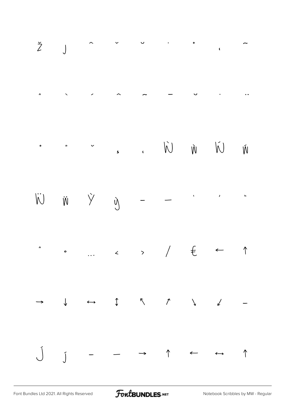

[Font Bundles Ltd 2021. All Rights Reserved](https://fontbundles.net/) **FoutBUNDLES.NET** [Notebook Scribbles by MW - Regular](https://fontbundles.net/)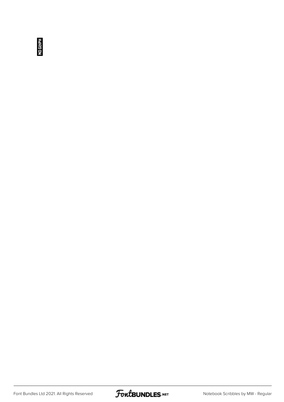**NO GLYPH** 

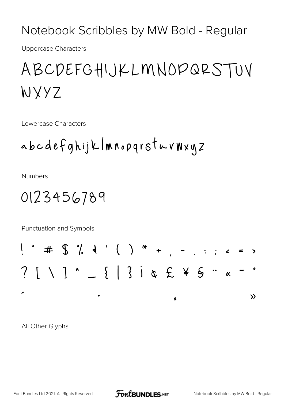Notebook Scribbles by MW Bold - Regular

**Uppercase Characters** 

### ABCDEFGHIJKLMNOPQRSTUV WXYZ

Lowercase Characters

**Numbers** 

### 0123456789

Punctuation and Symbols



All Other Glyphs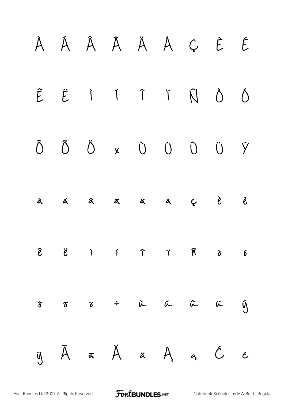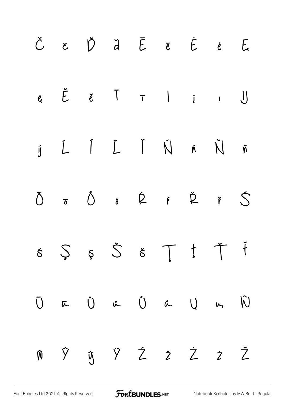|  |  | Č c Ď ď Ē ē Ė ė E                                                                                                                                                                                                                                                                                                                                                                                                                                                   |  |  |
|--|--|---------------------------------------------------------------------------------------------------------------------------------------------------------------------------------------------------------------------------------------------------------------------------------------------------------------------------------------------------------------------------------------------------------------------------------------------------------------------|--|--|
|  |  | $e$ $\check{E}$ $e$ $\top$ $1$ $i$ $\top$                                                                                                                                                                                                                                                                                                                                                                                                                           |  |  |
|  |  | $\begin{array}{cccccccccccccc} \text{if} & \text{if} & \text{if} & \text{if} & \text{if} & \text{if} & \text{if} & \text{if} & \text{if} & \text{if} & \text{if} & \text{if} & \text{if} & \text{if} & \text{if} & \text{if} & \text{if} & \text{if} & \text{if} & \text{if} & \text{if} & \text{if} & \text{if} & \text{if} & \text{if} & \text{if} & \text{if} & \text{if} & \text{if} & \text{if} & \text{if} & \text{if} & \text{if} & \text{if} & \text{if} &$ |  |  |
|  |  | $\overline{0}$ $\overline{0}$ $\overline{0}$ $\overline{0}$ $\overline{0}$ $\overline{1}$ $\overline{0}$ $\overline{1}$ $\overline{0}$ $\overline{1}$ $\overline{1}$ $\overline{0}$ $\overline{1}$ $\overline{1}$ $\overline{1}$ $\overline{1}$ $\overline{1}$ $\overline{1}$ $\overline{1}$ $\overline{1}$ $\overline{1}$ $\overline{1}$ $\overline{1}$ $\overline{1}$ $\overline{$                                                                                |  |  |
|  |  | $s \hspace{0.2cm} \zeta \hspace{0.2cm} s \hspace{0.2cm} \check{\zeta} \hspace{0.2cm} \check{s} \hspace{0.2cm} \top \hspace{0.2cm} \dot{t} \hspace{0.2cm} \check{\tau}$                                                                                                                                                                                                                                                                                              |  |  |
|  |  | $\vec{U}$ $\vec{\mu}$ $\vec{U}$ $\vec{\mu}$ $\vec{U}$ $\vec{\mu}$ $\vec{U}$                                                                                                                                                                                                                                                                                                                                                                                         |  |  |
|  |  | n ŷ y ž z ż ž Ž                                                                                                                                                                                                                                                                                                                                                                                                                                                     |  |  |

[Font Bundles Ltd 2021. All Rights Reserved](https://fontbundles.net/) **FoutBUNDLES.NET** [Notebook Scribbles by MW Bold - Regular](https://fontbundles.net/)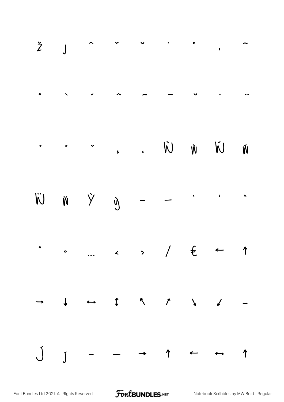|  |  |  | $\check{Z}$ ) $\sim$ $\sim$ $\sim$ $\sim$ $\sim$ $\sim$                                                                                                                                                                                                                                                                                                                                         |  |
|--|--|--|-------------------------------------------------------------------------------------------------------------------------------------------------------------------------------------------------------------------------------------------------------------------------------------------------------------------------------------------------------------------------------------------------|--|
|  |  |  |                                                                                                                                                                                                                                                                                                                                                                                                 |  |
|  |  |  |                                                                                                                                                                                                                                                                                                                                                                                                 |  |
|  |  |  | $\begin{array}{ccccccccccccccccc} \nabla & \hat{w} & \hat{w} & \hat{w} & \hat{w} & \hat{w} & \hat{w} & \hat{w} & \hat{w} & \hat{w} & \hat{w} & \hat{w} & \hat{w} & \hat{w} & \hat{w} & \hat{w} & \hat{w} & \hat{w} & \hat{w} & \hat{w} & \hat{w} & \hat{w} & \hat{w} & \hat{w} & \hat{w} & \hat{w} & \hat{w} & \hat{w} & \hat{w} & \hat{w} & \hat{w} & \hat{w} & \hat{w} & \hat{w} & \hat{w} &$ |  |
|  |  |  | $\therefore$ ) $\in$ $\leftarrow$ $\uparrow$                                                                                                                                                                                                                                                                                                                                                    |  |
|  |  |  |                                                                                                                                                                                                                                                                                                                                                                                                 |  |
|  |  |  | $J$ $j$ - - - 1 - 1                                                                                                                                                                                                                                                                                                                                                                             |  |

[Font Bundles Ltd 2021. All Rights Reserved](https://fontbundles.net/) **FoutBUNDLES.NET** [Notebook Scribbles by MW Bold - Regular](https://fontbundles.net/)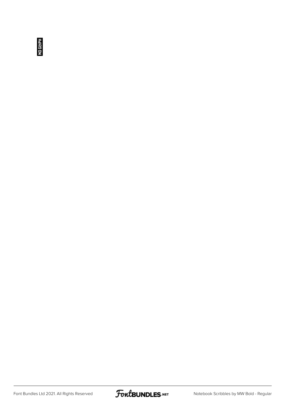**NO GLYPH** 

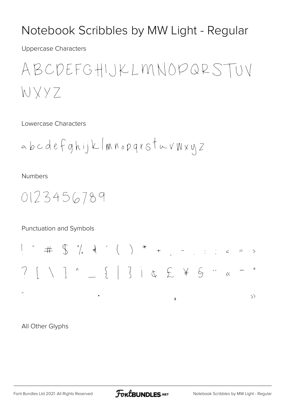#### Notebook Scribbles by MW Light - Regular

**Uppercase Characters** 

ABCDEFGHIJKLMNOPQRSTUV WXYZ

Lowercase Characters

**Numbers** 

0123456789

Punctuation and Symbols

All Other Glyphs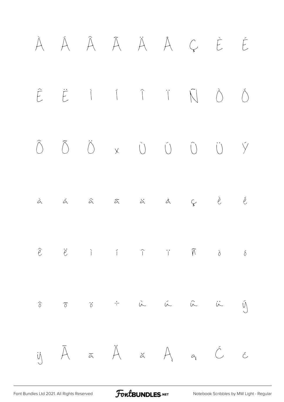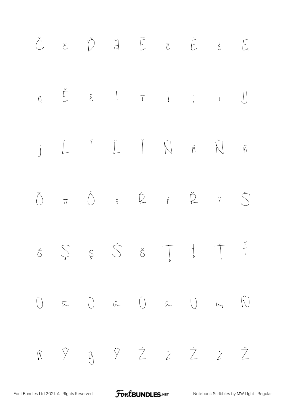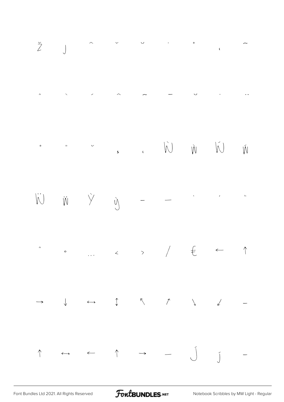